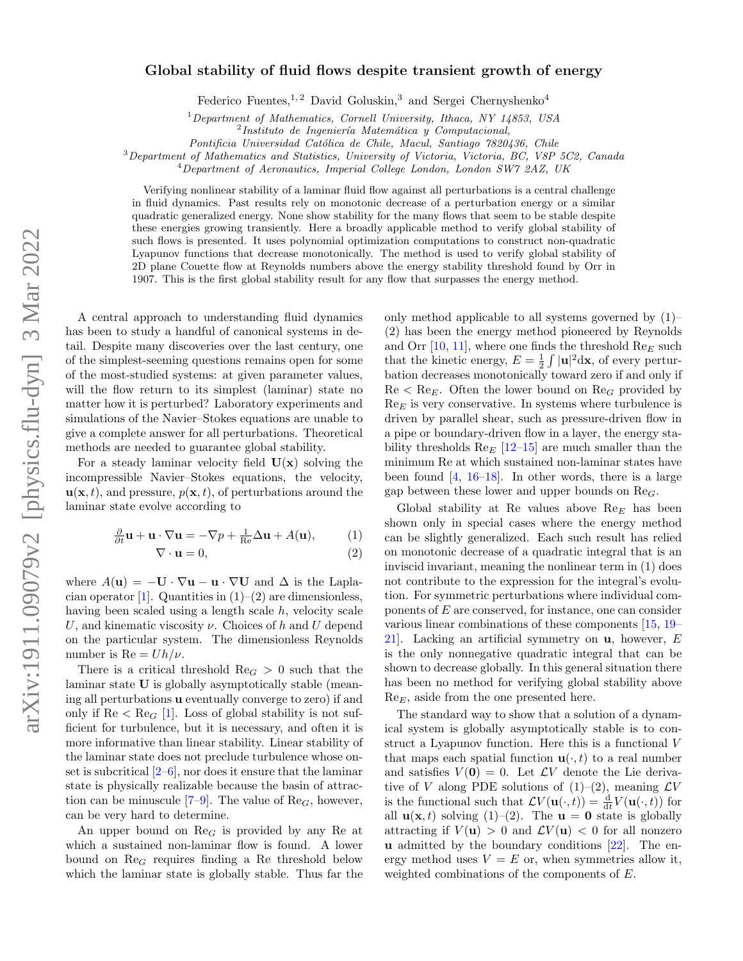## Global stability of fluid flows despite transient growth of energy

Federico Fuentes,  $1, 2$  David Goluskin,  $3$  and Sergei Chernyshenko<sup>4</sup>

 $1$ Department of Mathematics, Cornell University, Ithaca, NY 14853, USA

 $^{2}$ Instituto de Ingeniería Matemática y Computacional,

Pontificia Universidad Católica de Chile, Macul, Santiago 7820436, Chile

<sup>3</sup>Department of Mathematics and Statistics, University of Victoria, Victoria, BC, V8P 5C2, Canada

<sup>4</sup>Department of Aeronautics, Imperial College London, London SW7 2AZ, UK

Verifying nonlinear stability of a laminar fluid flow against all perturbations is a central challenge in fluid dynamics. Past results rely on monotonic decrease of a perturbation energy or a similar quadratic generalized energy. None show stability for the many flows that seem to be stable despite these energies growing transiently. Here a broadly applicable method to verify global stability of such flows is presented. It uses polynomial optimization computations to construct non-quadratic Lyapunov functions that decrease monotonically. The method is used to verify global stability of 2D plane Couette flow at Reynolds numbers above the energy stability threshold found by Orr in 1907. This is the first global stability result for any flow that surpasses the energy method.

A central approach to understanding fluid dynamics has been to study a handful of canonical systems in detail. Despite many discoveries over the last century, one of the simplest-seeming questions remains open for some of the most-studied systems: at given parameter values, will the flow return to its simplest (laminar) state no matter how it is perturbed? Laboratory experiments and simulations of the Navier–Stokes equations are unable to give a complete answer for all perturbations. Theoretical methods are needed to guarantee global stability.

For a steady laminar velocity field  $U(x)$  solving the incompressible Navier–Stokes equations, the velocity,  $\mathbf{u}(\mathbf{x}, t)$ , and pressure,  $p(\mathbf{x}, t)$ , of perturbations around the laminar state evolve according to

$$
\frac{\partial}{\partial t}\mathbf{u} + \mathbf{u} \cdot \nabla \mathbf{u} = -\nabla p + \frac{1}{\text{Re}}\Delta \mathbf{u} + A(\mathbf{u}),\tag{1}
$$

$$
\nabla \cdot \mathbf{u} = 0,\tag{2}
$$

where  $A(\mathbf{u}) = -\mathbf{U} \cdot \nabla \mathbf{u} - \mathbf{u} \cdot \nabla \mathbf{U}$  and  $\Delta$  is the Lapla-cian operator [\[1\]](#page-4-0). Quantities in  $(1)-(2)$  $(1)-(2)$  are dimensionless, having been scaled using a length scale h, velocity scale U, and kinematic viscosity  $\nu$ . Choices of h and U depend on the particular system. The dimensionless Reynolds number is  $Re = Uh/\nu$ .

There is a critical threshold  $\text{Re}_G > 0$  such that the laminar state U is globally asymptotically stable (meaning all perturbations u eventually converge to zero) if and only if  $\text{Re} < \text{Re}_G$  [\[1\]](#page-4-0). Loss of global stability is not sufficient for turbulence, but it is necessary, and often it is more informative than linear stability. Linear stability of the laminar state does not preclude turbulence whose onset is subcritical  $[2-6]$ , nor does it ensure that the laminar state is physically realizable because the basin of attraction can be minuscule  $[7-9]$  $[7-9]$ . The value of  $\text{Re}_G$ , however, can be very hard to determine.

An upper bound on  $\text{Re}_G$  is provided by any Re at which a sustained non-laminar flow is found. A lower bound on  $\text{Re}_G$  requires finding a Re threshold below which the laminar state is globally stable. Thus far the

only method applicable to all systems governed by [\(1\)](#page-0-0)– [\(2\)](#page-0-1) has been the energy method pioneered by Reynolds and Orr  $[10, 11]$  $[10, 11]$ , where one finds the threshold  $\text{Re}_E$  such that the kinetic energy,  $E = \frac{1}{2} \int |\mathbf{u}|^2 d\mathbf{x}$ , of every perturbation decreases monotonically toward zero if and only if  $\text{Re} < \text{Re}_E$ . Often the lower bound on  $\text{Re}_G$  provided by  $\text{Re}_E$  is very conservative. In systems where turbulence is driven by parallel shear, such as pressure-driven flow in a pipe or boundary-driven flow in a layer, the energy stability thresholds  $\text{Re}_E$  [\[12–](#page-4-7)[15\]](#page-4-8) are much smaller than the minimum Re at which sustained non-laminar states have been found  $[4, 16-18]$  $[4, 16-18]$ . In other words, there is a large gap between these lower and upper bounds on  $\text{Re}_G$ .

<span id="page-0-1"></span><span id="page-0-0"></span>Global stability at Re values above  $\text{Re}_E$  has been shown only in special cases where the energy method can be slightly generalized. Each such result has relied on monotonic decrease of a quadratic integral that is an inviscid invariant, meaning the nonlinear term in [\(1\)](#page-0-0) does not contribute to the expression for the integral's evolution. For symmetric perturbations where individual components of E are conserved, for instance, one can consider various linear combinations of these components [\[15,](#page-4-8) [19–](#page-4-12) [21\]](#page-4-13). Lacking an artificial symmetry on u, however, E is the only nonnegative quadratic integral that can be shown to decrease globally. In this general situation there has been no method for verifying global stability above  $\text{Re}_E$ , aside from the one presented here.

The standard way to show that a solution of a dynamical system is globally asymptotically stable is to construct a Lyapunov function. Here this is a functional V that maps each spatial function  $\mathbf{u}(\cdot,t)$  to a real number and satisfies  $V(0) = 0$ . Let  $\mathcal{L}V$  denote the Lie derivative of V along PDE solutions of  $(1)-(2)$  $(1)-(2)$ , meaning  $\mathcal{L}V$ is the functional such that  $\mathcal{L}V(\mathbf{u}(\cdot,t)) = \frac{d}{dt}V(\mathbf{u}(\cdot,t))$  for all  $\mathbf{u}(\mathbf{x}, t)$  solving [\(1\)](#page-0-0)–[\(2\)](#page-0-1). The  $\mathbf{u} = \mathbf{0}$  state is globally attracting if  $V(\mathbf{u}) > 0$  and  $\mathcal{L}V(\mathbf{u}) < 0$  for all nonzero u admitted by the boundary conditions [\[22\]](#page-4-14). The energy method uses  $V = E$  or, when symmetries allow it, weighted combinations of the components of E.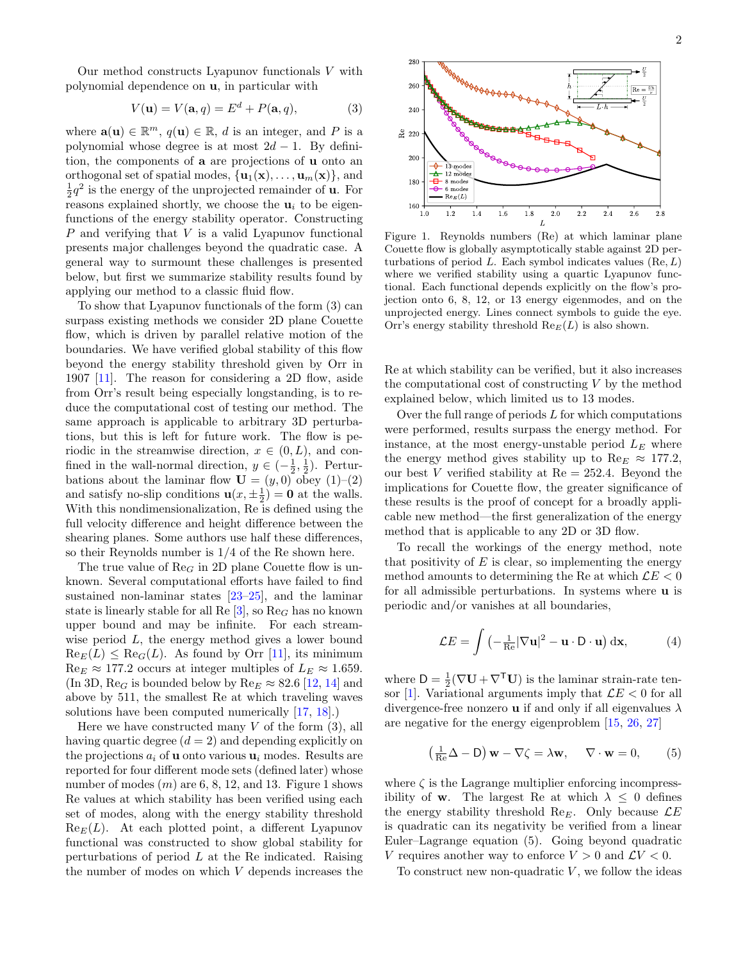<span id="page-1-0"></span>
$$
V(\mathbf{u}) = V(\mathbf{a}, q) = E^d + P(\mathbf{a}, q), \tag{3}
$$

where  $\mathbf{a}(\mathbf{u}) \in \mathbb{R}^m$ ,  $q(\mathbf{u}) \in \mathbb{R}$ , d is an integer, and P is a polynomial whose degree is at most  $2d - 1$ . By definition, the components of a are projections of u onto an orthogonal set of spatial modes,  $\{u_1(\mathbf{x}), \ldots, u_m(\mathbf{x})\}$ , and  $\frac{1}{2}q^2$  is the energy of the unprojected remainder of **u**. For reasons explained shortly, we choose the  $\mathbf{u}_i$  to be eigenfunctions of the energy stability operator. Constructing P and verifying that V is a valid Lyapunov functional presents major challenges beyond the quadratic case. A general way to surmount these challenges is presented below, but first we summarize stability results found by applying our method to a classic fluid flow.

To show that Lyapunov functionals of the form [\(3\)](#page-1-0) can surpass existing methods we consider 2D plane Couette flow, which is driven by parallel relative motion of the boundaries. We have verified global stability of this flow beyond the energy stability threshold given by Orr in 1907 [\[11\]](#page-4-6). The reason for considering a 2D flow, aside from Orr's result being especially longstanding, is to reduce the computational cost of testing our method. The same approach is applicable to arbitrary 3D perturbations, but this is left for future work. The flow is periodic in the streamwise direction,  $x \in (0, L)$ , and confined in the wall-normal direction,  $y \in \left(-\frac{1}{2}, \frac{1}{2}\right)$ . Perturbations about the laminar flow  $\mathbf{U} = (y, 0)$  obey  $(1)$ – $(2)$ and satisfy no-slip conditions  $\mathbf{u}(x, \pm \frac{1}{2}) = \mathbf{0}$  at the walls. With this nondimensionalization, Re is defined using the full velocity difference and height difference between the shearing planes. Some authors use half these differences, so their Reynolds number is 1/4 of the Re shown here.

The true value of  $\text{Re}_G$  in 2D plane Couette flow is unknown. Several computational efforts have failed to find sustained non-laminar states [\[23–](#page-4-15)[25\]](#page-4-16), and the laminar state is linearly stable for all Re  $[3]$ , so Re<sub>G</sub> has no known upper bound and may be infinite. For each streamwise period L, the energy method gives a lower bound  $\text{Re}_E(L) \leq \text{Re}_G(L)$ . As found by Orr [\[11\]](#page-4-6), its minimum  $\text{Re}_E \approx 177.2$  occurs at integer multiples of  $L_E \approx 1.659$ . (In 3D, Re<sub>G</sub> is bounded below by Re<sub>E</sub>  $\approx$  82.6 [\[12,](#page-4-7) [14\]](#page-4-18) and above by 511, the smallest Re at which traveling waves solutions have been computed numerically [\[17,](#page-4-19) [18\]](#page-4-11).)

Here we have constructed many  $V$  of the form  $(3)$ , all having quartic degree  $(d = 2)$  and depending explicitly on the projections  $a_i$  of **u** onto various  $\mathbf{u}_i$  modes. Results are reported for four different mode sets (defined later) whose number of modes  $(m)$  are 6, 8, [1](#page-1-1)2, and 13. Figure 1 shows Re values at which stability has been verified using each set of modes, along with the energy stability threshold  $\text{Re}_E(L)$ . At each plotted point, a different Lyapunov functional was constructed to show global stability for perturbations of period  $L$  at the Re indicated. Raising the number of modes on which V depends increases the



<span id="page-1-1"></span>Figure 1. Reynolds numbers (Re) at which laminar plane Couette flow is globally asymptotically stable against 2D perturbations of period  $L$ . Each symbol indicates values  $(Re, L)$ where we verified stability using a quartic Lyapunov functional. Each functional depends explicitly on the flow's projection onto 6, 8, 12, or 13 energy eigenmodes, and on the unprojected energy. Lines connect symbols to guide the eye. Orr's energy stability threshold  $\text{Re}_E(L)$  is also shown.

Re at which stability can be verified, but it also increases the computational cost of constructing  $V$  by the method explained below, which limited us to 13 modes.

Over the full range of periods  $L$  for which computations were performed, results surpass the energy method. For instance, at the most energy-unstable period  $L<sub>E</sub>$  where the energy method gives stability up to  $\text{Re}_E \approx 177.2$ , our best V verified stability at  $Re = 252.4$ . Beyond the implications for Couette flow, the greater significance of these results is the proof of concept for a broadly applicable new method—the first generalization of the energy method that is applicable to any 2D or 3D flow.

To recall the workings of the energy method, note that positivity of  $E$  is clear, so implementing the energy method amounts to determining the Re at which  $\mathcal{L}E < 0$ for all admissible perturbations. In systems where u is periodic and/or vanishes at all boundaries,

$$
\mathcal{L}E = \int \left( -\frac{1}{\text{Re}} |\nabla \mathbf{u}|^2 - \mathbf{u} \cdot \mathbf{D} \cdot \mathbf{u} \right) d\mathbf{x},\tag{4}
$$

where  $D = \frac{1}{2}(\nabla \mathbf{U} + \nabla^{\mathsf{T}} \mathbf{U})$  is the laminar strain-rate ten-sor [\[1\]](#page-4-0). Variational arguments imply that  $\mathcal{L}E < 0$  for all divergence-free nonzero **u** if and only if all eigenvalues  $\lambda$ are negative for the energy eigenproblem [\[15,](#page-4-8) [26,](#page-4-20) [27\]](#page-4-21)

<span id="page-1-2"></span>
$$
\left(\frac{1}{Re}\Delta - D\right)\mathbf{w} - \nabla\zeta = \lambda\mathbf{w}, \quad \nabla \cdot \mathbf{w} = 0, \quad (5)
$$

where  $\zeta$  is the Lagrange multiplier enforcing incompressibility of **w**. The largest Re at which  $\lambda \leq 0$  defines the energy stability threshold Re<sub>E</sub>. Only because  $\mathcal{L}E$ is quadratic can its negativity be verified from a linear Euler–Lagrange equation [\(5\)](#page-1-2). Going beyond quadratic V requires another way to enforce  $V > 0$  and  $\mathcal{L}V < 0$ .

To construct new non-quadratic  $V$ , we follow the ideas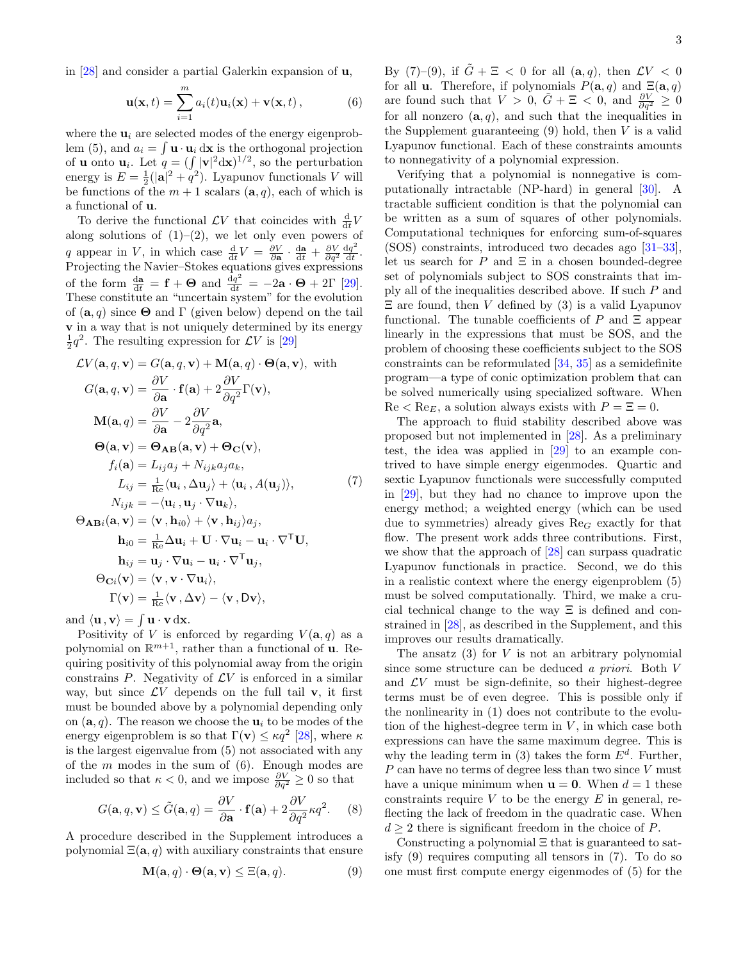<span id="page-2-0"></span>
$$
\mathbf{u}(\mathbf{x},t) = \sum_{i=1}^{m} a_i(t)\mathbf{u}_i(\mathbf{x}) + \mathbf{v}(\mathbf{x},t),
$$
 (6)

where the  $\mathbf{u}_i$  are selected modes of the energy eigenprob-lem [\(5\)](#page-1-2), and  $a_i = \int \mathbf{u} \cdot \mathbf{u}_i d\mathbf{x}$  is the orthogonal projection of **u** onto  $\mathbf{u}_i$ . Let  $q = (\int |\mathbf{v}|^2 d\mathbf{x})^{1/2}$ , so the perturbation energy is  $E = \frac{1}{2}(|\mathbf{a}|^2 + q^2)$ . Lyapunov functionals V will be functions of the  $m + 1$  scalars  $(a, q)$ , each of which is a functional of u.

To derive the functional  $\mathcal{L}V$  that coincides with  $\frac{d}{dt}V$ along solutions of  $(1)-(2)$  $(1)-(2)$ , we let only even powers of q appear in V, in which case  $\frac{d}{dt}V = \frac{\partial V}{\partial \mathbf{a}} \cdot \frac{d\mathbf{a}}{dt} + \frac{\partial V}{\partial q^2} \frac{dq^2}{dt}$  $\frac{1q^{-}}{\mathrm{d}t}$ . Projecting the Navier–Stokes equations gives expressions of the form  $\frac{d\mathbf{a}}{dt} = \mathbf{f} + \mathbf{\Theta}$  and  $\frac{dq^2}{dt} = -2\mathbf{a} \cdot \mathbf{\Theta} + 2\Gamma$  [\[29\]](#page-4-23). These constitute an "uncertain system" for the evolution of  $(a, q)$  since  $\Theta$  and  $\Gamma$  (given below) depend on the tail v in a way that is not uniquely determined by its energy  $\frac{1}{2}q^2$ . The resulting expression for  $\mathcal{L}V$  is [\[29\]](#page-4-23)

<span id="page-2-1"></span>
$$
\mathcal{L}V(\mathbf{a}, q, \mathbf{v}) = G(\mathbf{a}, q, \mathbf{v}) + \mathbf{M}(\mathbf{a}, q) \cdot \Theta(\mathbf{a}, \mathbf{v}), \text{ with}
$$
  
\n
$$
G(\mathbf{a}, q, \mathbf{v}) = \frac{\partial V}{\partial \mathbf{a}} \cdot \mathbf{f}(\mathbf{a}) + 2\frac{\partial V}{\partial q^2} \Gamma(\mathbf{v}),
$$
  
\n
$$
\mathbf{M}(\mathbf{a}, q) = \frac{\partial V}{\partial \mathbf{a}} - 2\frac{\partial V}{\partial q^2} \mathbf{a},
$$
  
\n
$$
\Theta(\mathbf{a}, \mathbf{v}) = \Theta_{AB}(\mathbf{a}, \mathbf{v}) + \Theta_{C}(\mathbf{v}),
$$
  
\n
$$
f_i(\mathbf{a}) = L_{ij}a_j + N_{ijk}a_ja_k,
$$
  
\n
$$
L_{ij} = \frac{1}{\text{Re}} \langle \mathbf{u}_i, \Delta \mathbf{u}_j \rangle + \langle \mathbf{u}_i, A(\mathbf{u}_j) \rangle,
$$
  
\n
$$
N_{ijk} = -\langle \mathbf{u}_i, \mathbf{u}_j \cdot \nabla \mathbf{u}_k \rangle,
$$
  
\n
$$
\Theta_{ABi}(\mathbf{a}, \mathbf{v}) = \langle \mathbf{v}, \mathbf{h}_{i0} \rangle + \langle \mathbf{v}, \mathbf{h}_{ij} \rangle a_j,
$$
  
\n
$$
\mathbf{h}_{i0} = \frac{1}{\text{Re}} \Delta \mathbf{u}_i + \mathbf{U} \cdot \nabla \mathbf{u}_i - \mathbf{u}_i \cdot \nabla^{\mathsf{T}} \mathbf{U},
$$
  
\n
$$
\mathbf{h}_{ij} = \mathbf{u}_j \cdot \nabla \mathbf{u}_i - \mathbf{u}_i \cdot \nabla^{\mathsf{T}} \mathbf{u}_j,
$$
  
\n
$$
\Theta_{Ci}(\mathbf{v}) = \langle \mathbf{v}, \mathbf{v} \cdot \nabla \mathbf{u}_i \rangle,
$$
  
\n
$$
\Gamma(\mathbf{v}) = \frac{1}{\text{Re}} \langle \mathbf{v}, \Delta \mathbf{v} \rangle - \langle \mathbf{v}, \mathbf{
$$

and  $\langle \mathbf{u}, \mathbf{v} \rangle = \int \mathbf{u} \cdot \mathbf{v} \, d\mathbf{x}$ .

Positivity of V is enforced by regarding  $V(\mathbf{a}, q)$  as a polynomial on  $\mathbb{R}^{m+1}$ , rather than a functional of **u**. Requiring positivity of this polynomial away from the origin constrains  $P$ . Negativity of  $\mathcal{L}V$  is enforced in a similar way, but since  $\mathcal{L}V$  depends on the full tail v, it first must be bounded above by a polynomial depending only on  $(a, q)$ . The reason we choose the  $u_i$  to be modes of the energy eigenproblem is so that  $\Gamma(\mathbf{v}) \leq \kappa q^2$  [\[28\]](#page-4-22), where  $\kappa$ is the largest eigenvalue from [\(5\)](#page-1-2) not associated with any of the  $m$  modes in the sum of  $(6)$ . Enough modes are included so that  $\kappa < 0$ , and we impose  $\frac{\partial V}{\partial q^2} \geq 0$  so that

<span id="page-2-3"></span>
$$
G(\mathbf{a}, q, \mathbf{v}) \le \tilde{G}(\mathbf{a}, q) = \frac{\partial V}{\partial \mathbf{a}} \cdot \mathbf{f}(\mathbf{a}) + 2 \frac{\partial V}{\partial q^2} \kappa q^2.
$$
 (8)

A procedure described in the Supplement introduces a polynomial  $\Xi(\mathbf{a}, q)$  with auxiliary constraints that ensure

<span id="page-2-2"></span>
$$
\mathbf{M}(\mathbf{a}, q) \cdot \mathbf{\Theta}(\mathbf{a}, \mathbf{v}) \le \Xi(\mathbf{a}, q). \tag{9}
$$

By [\(7\)](#page-2-1)–[\(9\)](#page-2-2), if  $\tilde{G} + \Xi < 0$  for all  $(a, q)$ , then  $\mathcal{L}V < 0$ for all **u**. Therefore, if polynomials  $P(\mathbf{a}, q)$  and  $\Xi(\mathbf{a}, q)$ are found such that  $V > 0$ ,  $\tilde{G} + \Xi < 0$ , and  $\frac{\partial V}{\partial q^2} \ge 0$ for all nonzero  $(a, q)$ , and such that the inequalities in the Supplement guaranteeing  $(9)$  hold, then V is a valid Lyapunov functional. Each of these constraints amounts to nonnegativity of a polynomial expression.

Verifying that a polynomial is nonnegative is computationally intractable (NP-hard) in general [\[30\]](#page-4-24). A tractable sufficient condition is that the polynomial can be written as a sum of squares of other polynomials. Computational techniques for enforcing sum-of-squares (SOS) constraints, introduced two decades ago [\[31–](#page-4-25)[33\]](#page-4-26), let us search for P and  $\Xi$  in a chosen bounded-degree set of polynomials subject to SOS constraints that imply all of the inequalities described above. If such P and  $\Xi$  are found, then V defined by [\(3\)](#page-1-0) is a valid Lyapunov functional. The tunable coefficients of P and  $\Xi$  appear linearly in the expressions that must be SOS, and the problem of choosing these coefficients subject to the SOS constraints can be reformulated [\[34,](#page-5-0) [35\]](#page-5-1) as a semidefinite program—a type of conic optimization problem that can be solved numerically using specialized software. When  $\text{Re} < \text{Re}_E$ , a solution always exists with  $P = \Xi = 0$ .

The approach to fluid stability described above was proposed but not implemented in [\[28\]](#page-4-22). As a preliminary test, the idea was applied in [\[29\]](#page-4-23) to an example contrived to have simple energy eigenmodes. Quartic and sextic Lyapunov functionals were successfully computed in [\[29\]](#page-4-23), but they had no chance to improve upon the energy method; a weighted energy (which can be used due to symmetries) already gives  $\text{Re}_G$  exactly for that flow. The present work adds three contributions. First, we show that the approach of [\[28\]](#page-4-22) can surpass quadratic Lyapunov functionals in practice. Second, we do this in a realistic context where the energy eigenproblem [\(5\)](#page-1-2) must be solved computationally. Third, we make a crucial technical change to the way Ξ is defined and constrained in [\[28\]](#page-4-22), as described in the Supplement, and this improves our results dramatically.

The ansatz  $(3)$  for V is not an arbitrary polynomial since some structure can be deduced a priori. Both V and  $\mathcal{L}V$  must be sign-definite, so their highest-degree terms must be of even degree. This is possible only if the nonlinearity in [\(1\)](#page-0-0) does not contribute to the evolution of the highest-degree term in  $V$ , in which case both expressions can have the same maximum degree. This is why the leading term in [\(3\)](#page-1-0) takes the form  $E^d$ . Further,  $P$  can have no terms of degree less than two since  $V$  must have a unique minimum when  $\mathbf{u} = \mathbf{0}$ . When  $d = 1$  these constraints require  $V$  to be the energy  $E$  in general, reflecting the lack of freedom in the quadratic case. When  $d \geq 2$  there is significant freedom in the choice of P.

Constructing a polynomial Ξ that is guaranteed to satisfy [\(9\)](#page-2-2) requires computing all tensors in [\(7\)](#page-2-1). To do so one must first compute energy eigenmodes of [\(5\)](#page-1-2) for the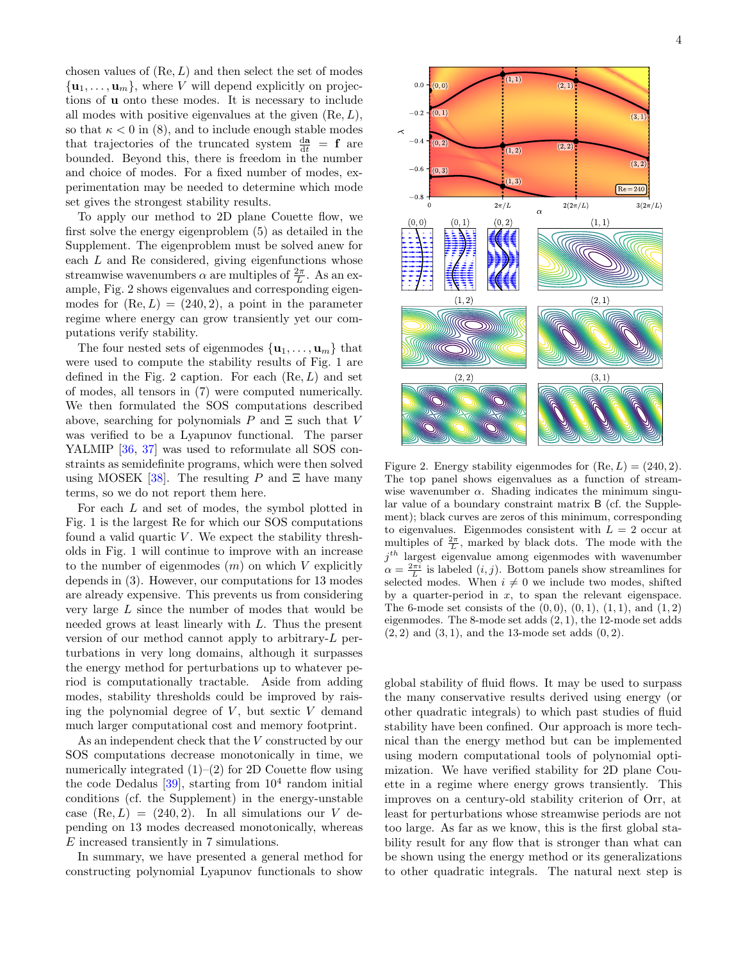chosen values of  $(Re, L)$  and then select the set of modes  $\{\mathbf u_1, \ldots, \mathbf u_m\}$ , where V will depend explicitly on projections of u onto these modes. It is necessary to include all modes with positive eigenvalues at the given  $(Re, L)$ , so that  $\kappa < 0$  in [\(8\)](#page-2-3), and to include enough stable modes that trajectories of the truncated system  $\frac{d\mathbf{a}}{dt} = \mathbf{f}$  are bounded. Beyond this, there is freedom in the number and choice of modes. For a fixed number of modes, experimentation may be needed to determine which mode set gives the strongest stability results.

To apply our method to 2D plane Couette flow, we first solve the energy eigenproblem [\(5\)](#page-1-2) as detailed in the Supplement. The eigenproblem must be solved anew for each  $L$  and Re considered, giving eigenfunctions whose streamwise wavenumbers  $\alpha$  are multiples of  $\frac{2\pi}{L}$ . As an example, Fig. [2](#page-3-0) shows eigenvalues and corresponding eigenmodes for  $(Re, L) = (240, 2)$ , a point in the parameter regime where energy can grow transiently yet our computations verify stability.

The four nested sets of eigenmodes  $\{u_1, \ldots, u_m\}$  that were used to compute the stability results of Fig. [1](#page-1-1) are defined in the Fig. [2](#page-3-0) caption. For each  $(Re, L)$  and set of modes, all tensors in [\(7\)](#page-2-1) were computed numerically. We then formulated the SOS computations described above, searching for polynomials P and  $\Xi$  such that V was verified to be a Lyapunov functional. The parser YALMIP [\[36,](#page-5-2) [37\]](#page-5-3) was used to reformulate all SOS constraints as semidefinite programs, which were then solved using MOSEK [\[38\]](#page-5-4). The resulting P and  $\Xi$  have many terms, so we do not report them here.

For each L and set of modes, the symbol plotted in Fig. [1](#page-1-1) is the largest Re for which our SOS computations found a valid quartic  $V$ . We expect the stability thresholds in Fig. [1](#page-1-1) will continue to improve with an increase to the number of eigenmodes  $(m)$  on which V explicitly depends in [\(3\)](#page-1-0). However, our computations for 13 modes are already expensive. This prevents us from considering very large L since the number of modes that would be needed grows at least linearly with L. Thus the present version of our method cannot apply to arbitrary-L perturbations in very long domains, although it surpasses the energy method for perturbations up to whatever period is computationally tractable. Aside from adding modes, stability thresholds could be improved by raising the polynomial degree of  $V$ , but sextic  $V$  demand much larger computational cost and memory footprint.

As an independent check that the V constructed by our SOS computations decrease monotonically in time, we numerically integrated  $(1)$ – $(2)$  for 2D Couette flow using the code Dedalus  $[39]$ , starting from  $10^4$  random initial conditions (cf. the Supplement) in the energy-unstable case  $(Re, L) = (240, 2)$ . In all simulations our V depending on 13 modes decreased monotonically, whereas E increased transiently in 7 simulations.

In summary, we have presented a general method for constructing polynomial Lyapunov functionals to show



4



<span id="page-3-0"></span>Figure 2. Energy stability eigenmodes for  $(Re, L) = (240, 2)$ . The top panel shows eigenvalues as a function of streamwise wavenumber  $\alpha$ . Shading indicates the minimum singular value of a boundary constraint matrix B (cf. the Supplement); black curves are zeros of this minimum, corresponding to eigenvalues. Eigenmodes consistent with  $L = 2$  occur at multiples of  $\frac{2\pi}{L}$ , marked by black dots. The mode with the  $j<sup>th</sup>$  largest eigenvalue among eigenmodes with wavenumber  $\alpha = \frac{2\pi i}{L}$  is labeled  $(i, j)$ . Bottom panels show streamlines for selected modes. When  $i \neq 0$  we include two modes, shifted by a quarter-period in  $x$ , to span the relevant eigenspace. The 6-mode set consists of the  $(0, 0)$ ,  $(0, 1)$ ,  $(1, 1)$ , and  $(1, 2)$ eigenmodes. The 8-mode set adds (2, 1), the 12-mode set adds  $(2, 2)$  and  $(3, 1)$ , and the 13-mode set adds  $(0, 2)$ .

global stability of fluid flows. It may be used to surpass the many conservative results derived using energy (or other quadratic integrals) to which past studies of fluid stability have been confined. Our approach is more technical than the energy method but can be implemented using modern computational tools of polynomial optimization. We have verified stability for 2D plane Couette in a regime where energy grows transiently. This improves on a century-old stability criterion of Orr, at least for perturbations whose streamwise periods are not too large. As far as we know, this is the first global stability result for any flow that is stronger than what can be shown using the energy method or its generalizations to other quadratic integrals. The natural next step is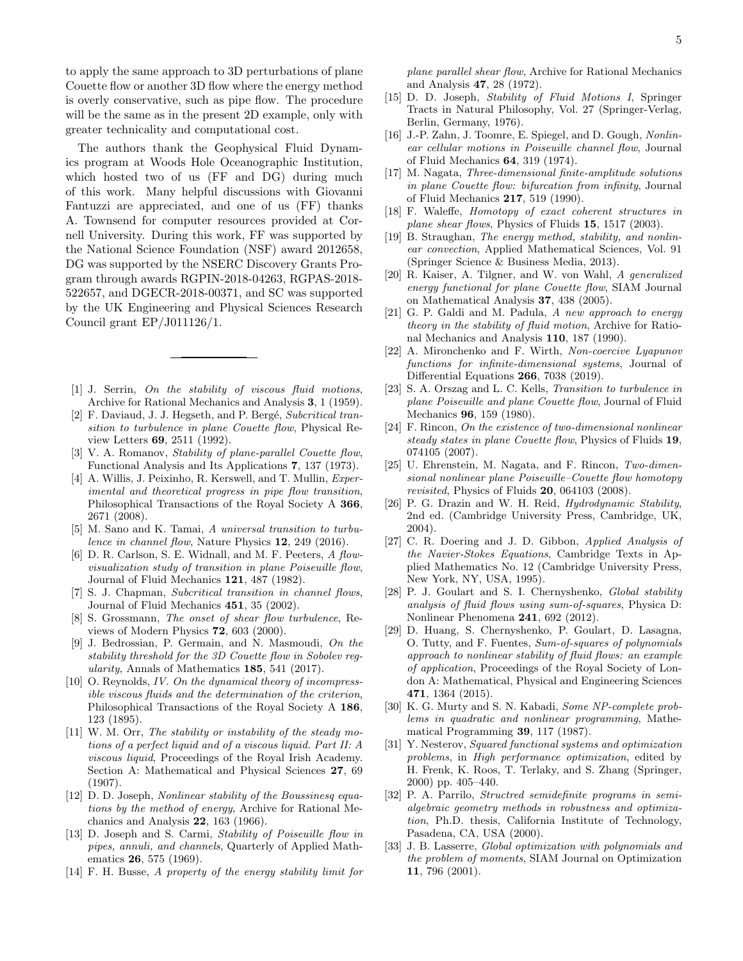to apply the same approach to 3D perturbations of plane Couette flow or another 3D flow where the energy method is overly conservative, such as pipe flow. The procedure will be the same as in the present 2D example, only with greater technicality and computational cost.

The authors thank the Geophysical Fluid Dynamics program at Woods Hole Oceanographic Institution, which hosted two of us (FF and DG) during much of this work. Many helpful discussions with Giovanni Fantuzzi are appreciated, and one of us (FF) thanks A. Townsend for computer resources provided at Cornell University. During this work, FF was supported by the National Science Foundation (NSF) award 2012658, DG was supported by the NSERC Discovery Grants Program through awards RGPIN-2018-04263, RGPAS-2018- 522657, and DGECR-2018-00371, and SC was supported by the UK Engineering and Physical Sciences Research Council grant EP/J011126/1.

- <span id="page-4-0"></span>[1] J. Serrin, On the stability of viscous fluid motions, Archive for Rational Mechanics and Analysis 3, 1 (1959).
- <span id="page-4-1"></span>[2] F. Daviaud, J. J. Hegseth, and P. Bergé, Subcritical transition to turbulence in plane Couette flow, Physical Review Letters 69, 2511 (1992).
- <span id="page-4-17"></span>[3] V. A. Romanov, Stability of plane-parallel Couette flow, Functional Analysis and Its Applications 7, 137 (1973).
- <span id="page-4-9"></span>[4] A. Willis, J. Peixinho, R. Kerswell, and T. Mullin, *Exper*imental and theoretical progress in pipe flow transition, Philosophical Transactions of the Royal Society A 366, 2671 (2008).
- [5] M. Sano and K. Tamai, A universal transition to turbulence in channel flow, Nature Physics 12, 249 (2016).
- <span id="page-4-2"></span>[6] D. R. Carlson, S. E. Widnall, and M. F. Peeters, A flowvisualization study of transition in plane Poiseuille flow, Journal of Fluid Mechanics 121, 487 (1982).
- <span id="page-4-3"></span>[7] S. J. Chapman, Subcritical transition in channel flows, Journal of Fluid Mechanics 451, 35 (2002).
- [8] S. Grossmann, The onset of shear flow turbulence, Reviews of Modern Physics 72, 603 (2000).
- <span id="page-4-4"></span>[9] J. Bedrossian, P. Germain, and N. Masmoudi, On the stability threshold for the 3D Couette flow in Sobolev regularity, Annals of Mathematics 185, 541 (2017).
- <span id="page-4-5"></span>[10] O. Reynolds, IV. On the dynamical theory of incompressible viscous fluids and the determination of the criterion, Philosophical Transactions of the Royal Society A 186, 123 (1895).
- <span id="page-4-6"></span>[11] W. M. Orr, The stability or instability of the steady motions of a perfect liquid and of a viscous liquid. Part II: A viscous liquid, Proceedings of the Royal Irish Academy. Section A: Mathematical and Physical Sciences 27, 69 (1907).
- <span id="page-4-7"></span>[12] D. D. Joseph, *Nonlinear stability of the Boussinesq equa*tions by the method of energy, Archive for Rational Mechanics and Analysis 22, 163 (1966).
- [13] D. Joseph and S. Carmi, Stability of Poiseuille flow in pipes, annuli, and channels, Quarterly of Applied Mathematics 26, 575 (1969).
- <span id="page-4-18"></span>[14] F. H. Busse, A property of the energy stability limit for

plane parallel shear flow, Archive for Rational Mechanics and Analysis 47, 28 (1972).

- <span id="page-4-8"></span>[15] D. D. Joseph, Stability of Fluid Motions I, Springer Tracts in Natural Philosophy, Vol. 27 (Springer-Verlag, Berlin, Germany, 1976).
- <span id="page-4-10"></span>[16] J.-P. Zahn, J. Toomre, E. Spiegel, and D. Gough, Nonlinear cellular motions in Poiseuille channel flow, Journal of Fluid Mechanics 64, 319 (1974).
- <span id="page-4-19"></span>[17] M. Nagata, Three-dimensional finite-amplitude solutions in plane Couette flow: bifurcation from infinity, Journal of Fluid Mechanics 217, 519 (1990).
- <span id="page-4-11"></span>[18] F. Waleffe, Homotopy of exact coherent structures in plane shear flows, Physics of Fluids 15, 1517 (2003).
- <span id="page-4-12"></span>[19] B. Straughan, The energy method, stability, and nonlinear convection, Applied Mathematical Sciences, Vol. 91 (Springer Science & Business Media, 2013).
- [20] R. Kaiser, A. Tilgner, and W. von Wahl, A generalized energy functional for plane Couette flow, SIAM Journal on Mathematical Analysis 37, 438 (2005).
- <span id="page-4-13"></span>[21] G. P. Galdi and M. Padula, A new approach to energy theory in the stability of fluid motion, Archive for Rational Mechanics and Analysis 110, 187 (1990).
- <span id="page-4-14"></span>[22] A. Mironchenko and F. Wirth, Non-coercive Lyapunov functions for infinite-dimensional systems, Journal of Differential Equations 266, 7038 (2019).
- <span id="page-4-15"></span>[23] S. A. Orszag and L. C. Kells, *Transition to turbulence in* plane Poiseuille and plane Couette flow, Journal of Fluid Mechanics 96, 159 (1980).
- [24] F. Rincon, On the existence of two-dimensional nonlinear steady states in plane Couette flow, Physics of Fluids 19, 074105 (2007).
- <span id="page-4-16"></span>[25] U. Ehrenstein, M. Nagata, and F. Rincon, Two-dimensional nonlinear plane Poiseuille–Couette flow homotopy revisited, Physics of Fluids 20, 064103 (2008).
- <span id="page-4-20"></span>[26] P. G. Drazin and W. H. Reid, *Hudrodynamic Stability*, 2nd ed. (Cambridge University Press, Cambridge, UK, 2004).
- <span id="page-4-21"></span>[27] C. R. Doering and J. D. Gibbon, Applied Analysis of the Navier-Stokes Equations, Cambridge Texts in Applied Mathematics No. 12 (Cambridge University Press, New York, NY, USA, 1995).
- <span id="page-4-22"></span>[28] P. J. Goulart and S. I. Chernyshenko, *Global stability* analysis of fluid flows using sum-of-squares, Physica D: Nonlinear Phenomena 241, 692 (2012).
- <span id="page-4-23"></span>[29] D. Huang, S. Chernyshenko, P. Goulart, D. Lasagna, O. Tutty, and F. Fuentes, Sum-of-squares of polynomials approach to nonlinear stability of fluid flows: an example of application, Proceedings of the Royal Society of London A: Mathematical, Physical and Engineering Sciences 471, 1364 (2015).
- <span id="page-4-24"></span>[30] K. G. Murty and S. N. Kabadi, Some NP-complete problems in quadratic and nonlinear programming, Mathematical Programming 39, 117 (1987).
- <span id="page-4-25"></span>[31] Y. Nesterov, Squared functional systems and optimization problems, in High performance optimization, edited by H. Frenk, K. Roos, T. Terlaky, and S. Zhang (Springer, 2000) pp. 405–440.
- [32] P. A. Parrilo, Structred semidefinite programs in semialgebraic geometry methods in robustness and optimization, Ph.D. thesis, California Institute of Technology, Pasadena, CA, USA (2000).
- <span id="page-4-26"></span>[33] J. B. Lasserre, *Global optimization with polynomials and* the problem of moments, SIAM Journal on Optimization 11, 796 (2001).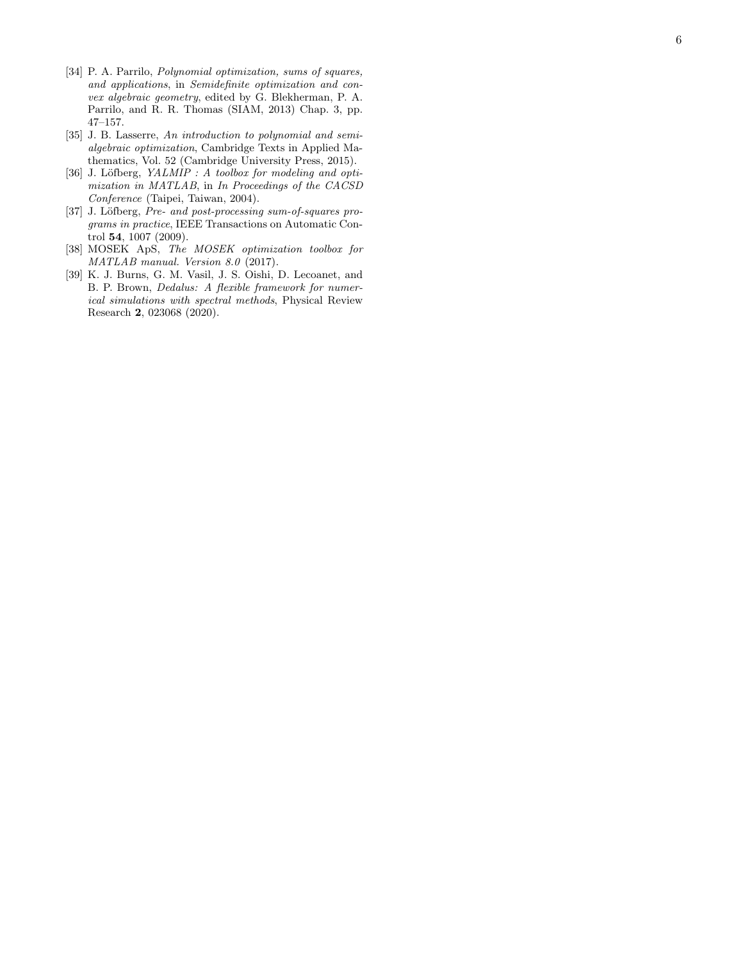- <span id="page-5-0"></span>[34] P. A. Parrilo, Polynomial optimization, sums of squares, and applications, in Semidefinite optimization and convex algebraic geometry, edited by G. Blekherman, P. A. Parrilo, and R. R. Thomas (SIAM, 2013) Chap. 3, pp. 47–157.
- <span id="page-5-1"></span>[35] J. B. Lasserre, An introduction to polynomial and semialgebraic optimization, Cambridge Texts in Applied Mathematics, Vol. 52 (Cambridge University Press, 2015).
- <span id="page-5-2"></span>[36] J. Löfberg,  $YALMIP : A$  toolbox for modeling and optimization in MATLAB, in In Proceedings of the CACSD Conference (Taipei, Taiwan, 2004).
- <span id="page-5-3"></span>[37] J. Löfberg, Pre- and post-processing sum-of-squares programs in practice, IEEE Transactions on Automatic Control 54, 1007 (2009).
- <span id="page-5-4"></span>[38] MOSEK ApS, The MOSEK optimization toolbox for MATLAB manual. Version 8.0 (2017).
- <span id="page-5-5"></span>[39] K. J. Burns, G. M. Vasil, J. S. Oishi, D. Lecoanet, and B. P. Brown, Dedalus: A flexible framework for numerical simulations with spectral methods, Physical Review Research 2, 023068 (2020).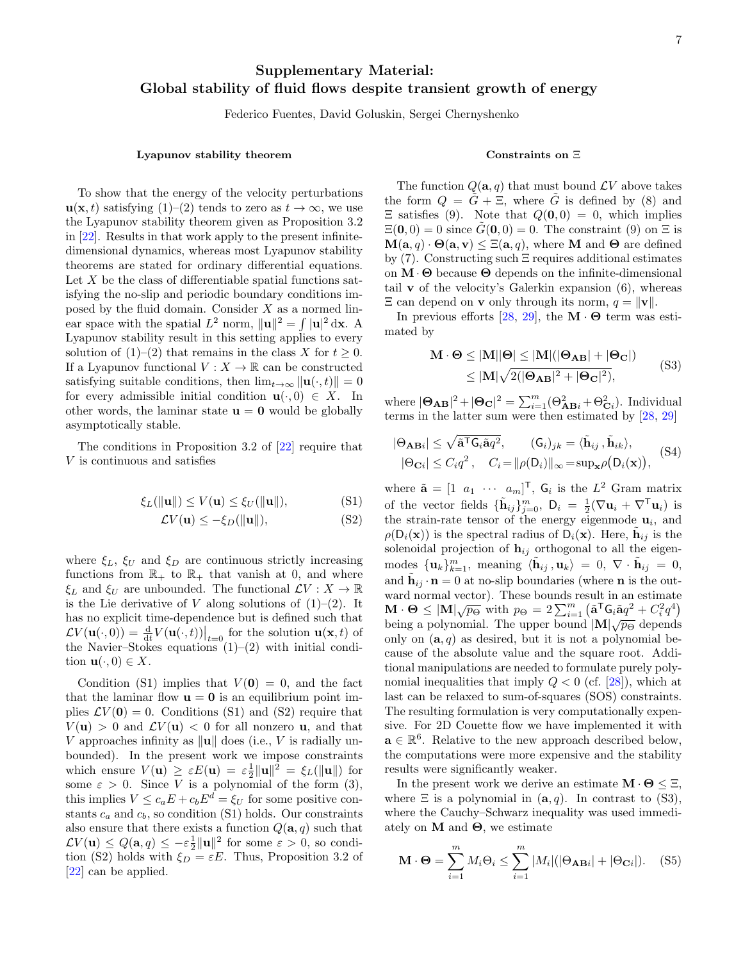# Supplementary Material: Global stability of fluid flows despite transient growth of energy

Federico Fuentes, David Goluskin, Sergei Chernyshenko

## Lyapunov stability theorem

To show that the energy of the velocity perturbations  $u(x, t)$  satisfying [\(1\)](#page-0-0)–[\(2\)](#page-0-1) tends to zero as  $t \to \infty$ , we use the Lyapunov stability theorem given as Proposition 3.2 in [\[22\]](#page-4-14). Results in that work apply to the present infinitedimensional dynamics, whereas most Lyapunov stability theorems are stated for ordinary differential equations. Let  $X$  be the class of differentiable spatial functions satisfying the no-slip and periodic boundary conditions imposed by the fluid domain. Consider  $X$  as a normed linear space with the spatial  $L^2$  norm,  $||\mathbf{u}||^2 = \int |\mathbf{u}|^2 d\mathbf{x}$ . A Lyapunov stability result in this setting applies to every solution of  $(1)–(2)$  $(1)–(2)$  that remains in the class X for  $t \geq 0$ . If a Lyapunov functional  $V : X \to \mathbb{R}$  can be constructed satisfying suitable conditions, then  $\lim_{t\to\infty} ||\mathbf{u}(\cdot, t)|| = 0$ for every admissible initial condition  $\mathbf{u}(\cdot,0) \in X$ . In other words, the laminar state  $\mathbf{u} = \mathbf{0}$  would be globally asymptotically stable.

The conditions in Proposition 3.2 of [\[22\]](#page-4-14) require that V is continuous and satisfies

$$
\xi_L(\|\mathbf{u}\|) \le V(\mathbf{u}) \le \xi_U(\|\mathbf{u}\|),\tag{S1}
$$

$$
\mathcal{L}V(\mathbf{u}) \le -\xi_D(\|\mathbf{u}\|),\tag{S2}
$$

where  $\xi_L$ ,  $\xi_U$  and  $\xi_D$  are continuous strictly increasing functions from  $\mathbb{R}_+$  to  $\mathbb{R}_+$  that vanish at 0, and where  $\xi_L$  and  $\xi_U$  are unbounded. The functional  $\mathcal{L}V : X \to \mathbb{R}$ is the Lie derivative of V along solutions of  $(1)-(2)$  $(1)-(2)$ . It has no explicit time-dependence but is defined such that  $\mathcal{L}V(\mathbf{u}(\cdot,0)) = \frac{\mathrm{d}}{\mathrm{d}t}V(\mathbf{u}(\cdot,t))\big|_{t=0}$  for the solution  $\mathbf{u}(\mathbf{x},t)$  of the Navier–Stokes equations  $(1)$ – $(2)$  with initial condition  $\mathbf{u}(\cdot,0) \in X$ .

Condition [\(S1\)](#page-6-0) implies that  $V(0) = 0$ , and the fact that the laminar flow  $\mathbf{u} = \mathbf{0}$  is an equilibrium point implies  $\mathcal{L}V(\mathbf{0})=0$ . Conditions [\(S1\)](#page-6-0) and [\(S2\)](#page-6-1) require that  $V(\mathbf{u}) > 0$  and  $\mathcal{L}V(\mathbf{u}) < 0$  for all nonzero **u**, and that V approaches infinity as  $\|\mathbf{u}\|$  does (i.e., V is radially unbounded). In the present work we impose constraints which ensure  $V(\mathbf{u}) \geq \varepsilon E(\mathbf{u}) = \varepsilon \frac{1}{2} ||\mathbf{u}||^2 = \xi_L(||\mathbf{u}||)$  for some  $\varepsilon > 0$ . Since V is a polynomial of the form [\(3\)](#page-1-0), this implies  $V \leq c_a E + c_b E^d = \xi_U$  for some positive constants  $c_a$  and  $c_b$ , so condition [\(S1\)](#page-6-0) holds. Our constraints also ensure that there exists a function  $Q(\mathbf{a}, q)$  such that  $\mathcal{L} V(\mathbf{u}) \leq Q(\mathbf{a}, q) \leq -\varepsilon \frac{1}{2} ||\mathbf{u}||^2$  for some  $\varepsilon > 0$ , so condi-tion [\(S2\)](#page-6-1) holds with  $\xi_D = \varepsilon E$ . Thus, Proposition 3.2 of [\[22\]](#page-4-14) can be applied.

## Constraints on Ξ

The function  $Q(\mathbf{a}, q)$  that must bound  $\mathcal{L}V$  above takes the form  $Q = G + \Xi$ , where G is defined by [\(8\)](#page-2-3) and  $\Xi$  satisfies [\(9\)](#page-2-2). Note that  $Q(0,0) = 0$ , which implies  $\Xi(\mathbf{0},0) = 0$  since  $G(\mathbf{0},0) = 0$ . The constraint  $(9)$  on  $\Xi$  is  $\mathbf{M}(\mathbf{a}, q) \cdot \mathbf{\Theta}(\mathbf{a}, \mathbf{v}) \leq \Xi(\mathbf{a}, q)$ , where **M** and  $\Theta$  are defined by [\(7\)](#page-2-1). Constructing such Ξ requires additional estimates on  $\mathbf{M} \cdot \mathbf{\Theta}$  because  $\mathbf{\Theta}$  depends on the infinite-dimensional tail **v** of the velocity's Galerkin expansion  $(6)$ , whereas  $\Xi$  can depend on **v** only through its norm,  $q = ||\mathbf{v}||$ .

In previous efforts [\[28,](#page-4-22) [29\]](#page-4-23), the  $\mathbf{M} \cdot \mathbf{\Theta}$  term was estimated by

<span id="page-6-2"></span>
$$
\mathbf{M} \cdot \mathbf{\Theta} \le |\mathbf{M}||\mathbf{\Theta}| \le |\mathbf{M}|(|\mathbf{\Theta}_{\mathbf{A}\mathbf{B}}| + |\mathbf{\Theta}_{\mathbf{C}}|)
$$
  
\n
$$
\le |\mathbf{M}|\sqrt{2(|\mathbf{\Theta}_{\mathbf{A}\mathbf{B}}|^2 + |\mathbf{\Theta}_{\mathbf{C}}|^2)},
$$
\n(S3)

where  $|\mathbf{\Theta}_{AB}|^2 + |\mathbf{\Theta}_{\mathbf{C}}|^2 = \sum_{i=1}^m (\Theta_{ABi}^2 + \Theta_{Ci}^2)$ . Individual terms in the latter sum were then estimated by [\[28,](#page-4-22) [29\]](#page-4-23)

<span id="page-6-3"></span>
$$
|\Theta_{\mathbf{AB}}| \leq \sqrt{\tilde{\mathbf{a}}^{\mathsf{T}} \mathsf{G}_i \tilde{\mathbf{a}} q^2}, \qquad (\mathsf{G}_i)_{jk} = \langle \tilde{\mathbf{h}}_{ij}, \tilde{\mathbf{h}}_{ik} \rangle, |\Theta_{\mathbf{C}i}| \leq C_i q^2, \quad C_i = ||\rho(\mathsf{D}_i)||_{\infty} = \sup_{\mathbf{x}} \rho(\mathsf{D}_i(\mathbf{x})),
$$
(S4)

<span id="page-6-1"></span><span id="page-6-0"></span>where  $\tilde{\mathbf{a}} = \begin{bmatrix} 1 & a_1 & \cdots & a_m \end{bmatrix}^\mathsf{T}$ ,  $\mathsf{G}_i$  is the  $L^2$  Gram matrix of the vector fields  $\{\tilde{\mathbf{h}}_{ij}\}_{j=0}^m$ ,  $\mathbf{D}_i = \frac{1}{2}(\nabla \mathbf{u}_i + \nabla^{\mathsf{T}} \mathbf{u}_i)$  is the strain-rate tensor of the energy eigenmode  $\mathbf{u}_i$ , and  $\rho(\mathsf{D}_i(\mathbf{x}))$  is the spectral radius of  $\overline{\mathsf{D}}_i(\mathbf{x})$ . Here,  $\tilde{\mathbf{h}}_{ij}$  is the solenoidal projection of  $h_{ij}$  orthogonal to all the eigenmodes  ${\{\mathbf{u}_k\}}_{k=1}^m$ , meaning  $\langle \tilde{\mathbf{h}}_{ij}, \mathbf{u}_k \rangle = 0, \ \nabla \cdot \tilde{\mathbf{h}}_{ij} = 0$ , and  $\tilde{\mathbf{h}}_{ij} \cdot \mathbf{n} = 0$  at no-slip boundaries (where **n** is the outward normal vector). These bounds result in an estimate M · Θ  $\leq$   $|M|\sqrt{p_{\Theta}}$  with  $p_{\Theta} = 2\sum_{i=1}^{m} (\tilde{a}^{\mathsf{T}}G_i\tilde{a}q^2 + C_i^2q^4)$ being a polynomial. The upper bound  $|M|\sqrt{p_{\Theta}}$  depends only on  $(a, q)$  as desired, but it is not a polynomial because of the absolute value and the square root. Additional manipulations are needed to formulate purely polynomial inequalities that imply  $Q < 0$  (cf. [\[28\]](#page-4-22)), which at last can be relaxed to sum-of-squares (SOS) constraints. The resulting formulation is very computationally expensive. For 2D Couette flow we have implemented it with  $\mathbf{a} \in \mathbb{R}^6$ . Relative to the new approach described below, the computations were more expensive and the stability results were significantly weaker.

In the present work we derive an estimate  $\mathbf{M} \cdot \mathbf{\Theta} \leq \Xi$ , where  $\Xi$  is a polynomial in  $(a, q)$ . In contrast to [\(S3\)](#page-6-2), where the Cauchy–Schwarz inequality was used immediately on  $M$  and  $\Theta$ , we estimate

$$
\mathbf{M} \cdot \mathbf{\Theta} = \sum_{i=1}^{m} M_i \Theta_i \le \sum_{i=1}^{m} |M_i| (|\Theta_{\mathbf{A}\mathbf{B}i}| + |\Theta_{\mathbf{C}i}|). \quad (S5)
$$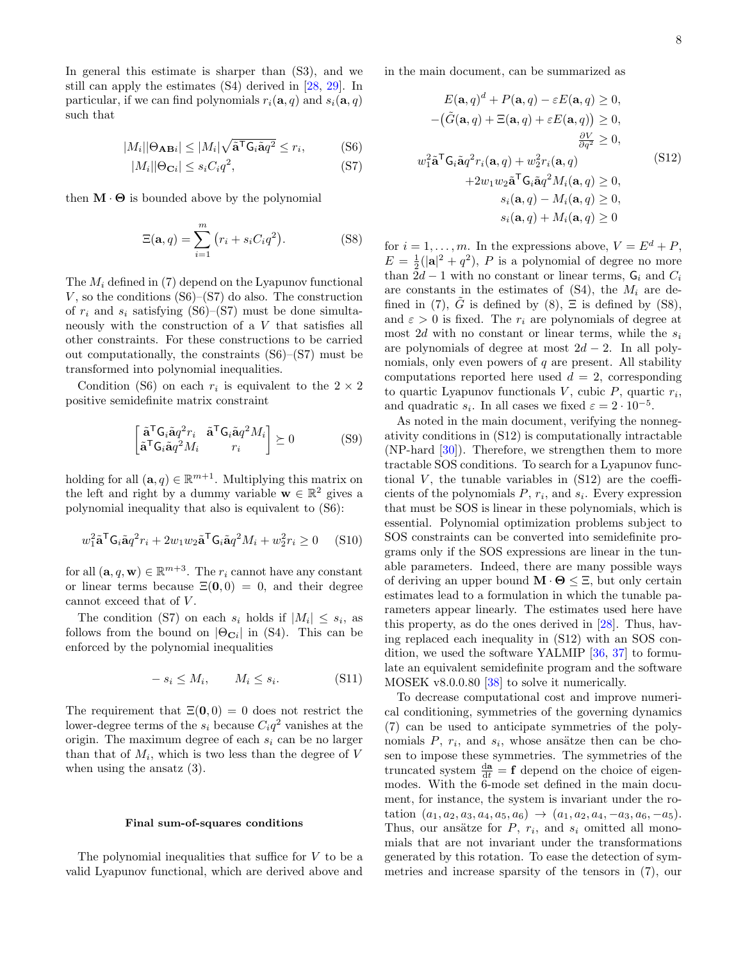In general this estimate is sharper than [\(S3\)](#page-6-2), and we still can apply the estimates [\(S4\)](#page-6-3) derived in [\[28,](#page-4-22) [29\]](#page-4-23). In particular, if we can find polynomials  $r_i(\mathbf{a}, q)$  and  $s_i(\mathbf{a}, q)$ such that

$$
|M_i| |\Theta_{\mathbf{AB}i}| \le |M_i| \sqrt{\tilde{\mathbf{a}}^{\mathsf{T}} \mathsf{G}_i \tilde{\mathbf{a}} q^2} \le r_i,
$$
 (S6)

$$
|M_i||\Theta_{\mathbf{C}i}| \le s_i C_i q^2,\tag{S7}
$$

then  $\mathbf{M} \cdot \mathbf{\Theta}$  is bounded above by the polynomial

<span id="page-7-2"></span>
$$
\Xi(\mathbf{a},q) = \sum_{i=1}^{m} (r_i + s_i C_i q^2).
$$
 (S8)

The  $M_i$  defined in [\(7\)](#page-2-1) depend on the Lyapunov functional V, so the conditions  $(S6)$ – $(S7)$  do also. The construction of  $r_i$  and  $s_i$  satisfying [\(S6\)](#page-7-0)–[\(S7\)](#page-7-1) must be done simultaneously with the construction of a V that satisfies all other constraints. For these constructions to be carried out computationally, the constraints [\(S6\)](#page-7-0)–[\(S7\)](#page-7-1) must be transformed into polynomial inequalities.

Condition [\(S6\)](#page-7-0) on each  $r_i$  is equivalent to the  $2 \times 2$ positive semidefinite matrix constraint

$$
\begin{bmatrix} \tilde{\mathbf{a}}^{\mathsf{T}} \mathsf{G}_{i} \tilde{\mathbf{a}} q^{2} r_{i} & \tilde{\mathbf{a}}^{\mathsf{T}} \mathsf{G}_{i} \tilde{\mathbf{a}} q^{2} M_{i} \\ \tilde{\mathbf{a}}^{\mathsf{T}} \mathsf{G}_{i} \tilde{\mathbf{a}} q^{2} M_{i} & r_{i} \end{bmatrix} \succeq 0 \tag{S9}
$$

holding for all  $(\mathbf{a}, q) \in \mathbb{R}^{m+1}$ . Multiplying this matrix on the left and right by a dummy variable  $\mathbf{w} \in \mathbb{R}^2$  gives a polynomial inequality that also is equivalent to [\(S6\)](#page-7-0):

$$
w_1^2 \tilde{\mathbf{a}}^{\mathsf{T}} \mathbf{G}_i \tilde{\mathbf{a}} q^2 r_i + 2w_1 w_2 \tilde{\mathbf{a}}^{\mathsf{T}} \mathbf{G}_i \tilde{\mathbf{a}} q^2 M_i + w_2^2 r_i \ge 0 \quad (S10)
$$

for all  $(\mathbf{a}, q, \mathbf{w}) \in \mathbb{R}^{m+3}$ . The  $r_i$  cannot have any constant or linear terms because  $\Xi(0,0) = 0$ , and their degree cannot exceed that of  $V$ .

The condition [\(S7\)](#page-7-1) on each  $s_i$  holds if  $|M_i| \leq s_i$ , as follows from the bound on  $|\Theta_{\text{C}_i}|$  in [\(S4\)](#page-6-3). This can be enforced by the polynomial inequalities

$$
- s_i \le M_i, \qquad M_i \le s_i. \tag{S11}
$$

The requirement that  $\Xi(0,0) = 0$  does not restrict the lower-degree terms of the  $s_i$  because  $C_i q^2$  vanishes at the origin. The maximum degree of each  $s_i$  can be no larger than that of  $M_i$ , which is two less than the degree of V when using the ansatz [\(3\)](#page-1-0).

#### Final sum-of-squares conditions

The polynomial inequalities that suffice for  $V$  to be a valid Lyapunov functional, which are derived above and <span id="page-7-1"></span><span id="page-7-0"></span>in the main document, can be summarized as

<span id="page-7-3"></span>
$$
E(\mathbf{a}, q)^d + P(\mathbf{a}, q) - \varepsilon E(\mathbf{a}, q) \ge 0,
$$
  
\n
$$
- (\tilde{G}(\mathbf{a}, q) + \Xi(\mathbf{a}, q) + \varepsilon E(\mathbf{a}, q)) \ge 0,
$$
  
\n
$$
\frac{\partial V}{\partial q^2} \ge 0,
$$
  
\n
$$
w_1^2 \tilde{\mathbf{a}}^T \mathbf{G}_i \tilde{\mathbf{a}} q^2 r_i(\mathbf{a}, q) + w_2^2 r_i(\mathbf{a}, q)
$$
  
\n
$$
+ 2w_1 w_2 \tilde{\mathbf{a}}^T \mathbf{G}_i \tilde{\mathbf{a}} q^2 M_i(\mathbf{a}, q) \ge 0,
$$
  
\n
$$
s_i(\mathbf{a}, q) - M_i(\mathbf{a}, q) \ge 0,
$$
  
\n
$$
s_i(\mathbf{a}, q) + M_i(\mathbf{a}, q) \ge 0
$$

for  $i = 1, \ldots, m$ . In the expressions above,  $V = E^d + P$ ,  $E = \frac{1}{2}(|\mathbf{a}|^2 + q^2)$ , P is a polynomial of degree no more than  $2d-1$  with no constant or linear terms,  $G_i$  and  $C_i$ are constants in the estimates of  $(S4)$ , the  $M_i$  are de-fined in [\(7\)](#page-2-1), G is defined by [\(8\)](#page-2-3),  $\Xi$  is defined by [\(S8\)](#page-7-2), and  $\varepsilon > 0$  is fixed. The  $r_i$  are polynomials of degree at most 2d with no constant or linear terms, while the  $s_i$ are polynomials of degree at most  $2d - 2$ . In all polynomials, only even powers of  $q$  are present. All stability computations reported here used  $d = 2$ , corresponding to quartic Lyapunov functionals  $V$ , cubic  $P$ , quartic  $r_i$ , and quadratic  $s_i$ . In all cases we fixed  $\varepsilon = 2 \cdot 10^{-5}$ .

As noted in the main document, verifying the nonnegativity conditions in [\(S12\)](#page-7-3) is computationally intractable  $(NP$ -hard  $[30]$ ). Therefore, we strengthen them to more tractable SOS conditions. To search for a Lyapunov functional  $V$ , the tunable variables in  $(S12)$  are the coefficients of the polynomials  $P, r_i$ , and  $s_i$ . Every expression that must be SOS is linear in these polynomials, which is essential. Polynomial optimization problems subject to SOS constraints can be converted into semidefinite programs only if the SOS expressions are linear in the tunable parameters. Indeed, there are many possible ways of deriving an upper bound  $\mathbf{M} \cdot \mathbf{\Theta} \leq \Xi$ , but only certain estimates lead to a formulation in which the tunable parameters appear linearly. The estimates used here have this property, as do the ones derived in [\[28\]](#page-4-22). Thus, having replaced each inequality in [\(S12\)](#page-7-3) with an SOS condition, we used the software YALMIP [\[36,](#page-5-2) [37\]](#page-5-3) to formulate an equivalent semidefinite program and the software MOSEK v8.0.0.80 [\[38\]](#page-5-4) to solve it numerically.

To decrease computational cost and improve numerical conditioning, symmetries of the governing dynamics [\(7\)](#page-2-1) can be used to anticipate symmetries of the polynomials  $P$ ,  $r_i$ , and  $s_i$ , whose ansätze then can be chosen to impose these symmetries. The symmetries of the truncated system  $\frac{d\mathbf{a}}{dt} = \mathbf{f}$  depend on the choice of eigenmodes. With the 6-mode set defined in the main document, for instance, the system is invariant under the rotation  $(a_1, a_2, a_3, a_4, a_5, a_6) \rightarrow (a_1, a_2, a_4, -a_3, a_6, -a_5).$ Thus, our ansätze for  $P$ ,  $r_i$ , and  $s_i$  omitted all monomials that are not invariant under the transformations generated by this rotation. To ease the detection of symmetries and increase sparsity of the tensors in [\(7\)](#page-2-1), our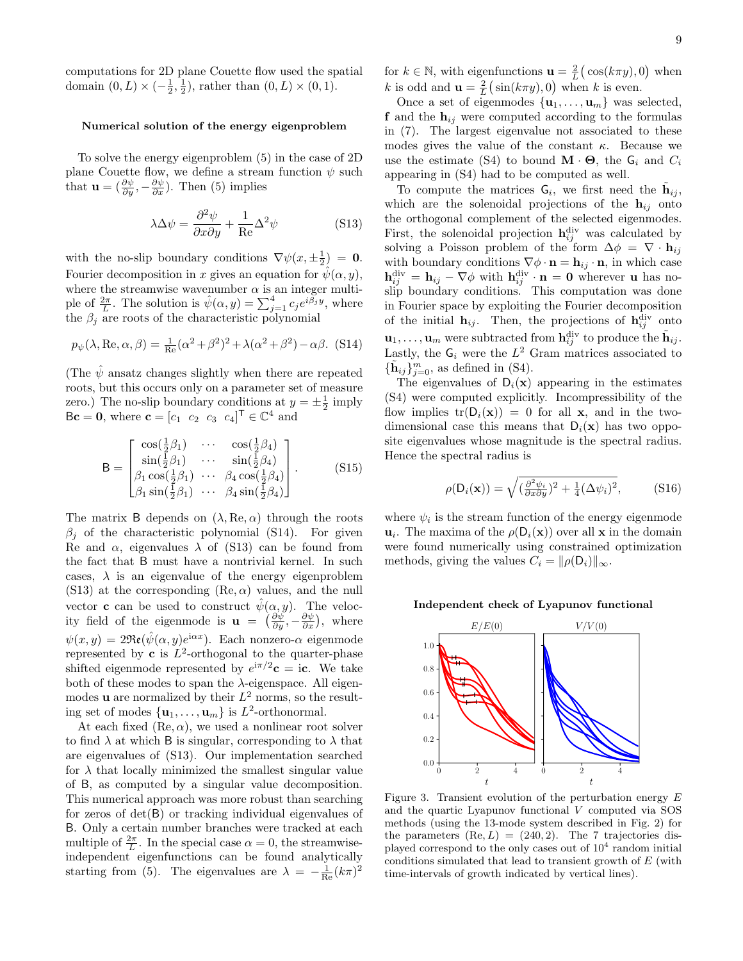computations for 2D plane Couette flow used the spatial domain  $(0, L) \times (-\frac{1}{2}, \frac{1}{2})$ , rather than  $(0, L) \times (0, 1)$ .

#### Numerical solution of the energy eigenproblem

To solve the energy eigenproblem [\(5\)](#page-1-2) in the case of 2D plane Couette flow, we define a stream function  $\psi$  such that  $\mathbf{u} = (\frac{\partial \psi}{\partial y}, -\frac{\partial \psi}{\partial x})$ . Then [\(5\)](#page-1-2) implies

<span id="page-8-1"></span>
$$
\lambda \Delta \psi = \frac{\partial^2 \psi}{\partial x \partial y} + \frac{1}{\text{Re}} \Delta^2 \psi
$$
 (S13)

with the no-slip boundary conditions  $\nabla \psi(x, \pm \frac{1}{2}) = 0$ . Fourier decomposition in x gives an equation for  $\psi(\alpha, y)$ , where the streamwise wavenumber  $\alpha$  is an integer multiple of  $\frac{2\pi}{L}$ . The solution is  $\hat{\psi}(\alpha, y) = \sum_{j=1}^{4} c_j e^{i \tilde{\beta}_j y}$ , where the  $\beta_i$  are roots of the characteristic polynomial

<span id="page-8-0"></span>
$$
p_{\psi}(\lambda, \text{Re}, \alpha, \beta) = \frac{1}{\text{Re}}(\alpha^2 + \beta^2)^2 + \lambda(\alpha^2 + \beta^2) - \alpha\beta. \tag{S14}
$$

(The  $\hat{\psi}$  ansatz changes slightly when there are repeated roots, but this occurs only on a parameter set of measure zero.) The no-slip boundary conditions at  $y = \pm \frac{1}{2}$  imply  $\mathsf{B}\mathbf{c} = \mathbf{0}$ , where  $\mathbf{c} = [c_1 \ c_2 \ c_3 \ c_4]^\mathsf{T} \in \mathbb{C}^4$  and

$$
\mathsf{B} = \begin{bmatrix} \cos(\frac{1}{2}\beta_1) & \cdots & \cos(\frac{1}{2}\beta_4) \\ \sin(\frac{1}{2}\beta_1) & \cdots & \sin(\frac{1}{2}\beta_4) \\ \beta_1 \cos(\frac{1}{2}\beta_1) & \cdots & \beta_4 \cos(\frac{1}{2}\beta_4) \\ \beta_1 \sin(\frac{1}{2}\beta_1) & \cdots & \beta_4 \sin(\frac{1}{2}\beta_4) \end{bmatrix} .
$$
 (S15)

The matrix B depends on  $(\lambda, Re, \alpha)$  through the roots  $\beta_j$  of the characteristic polynomial [\(S14\)](#page-8-0). For given Re and  $\alpha$ , eigenvalues  $\lambda$  of [\(S13\)](#page-8-1) can be found from the fact that B must have a nontrivial kernel. In such cases,  $\lambda$  is an eigenvalue of the energy eigenproblem [\(S13\)](#page-8-1) at the corresponding  $(Re, \alpha)$  values, and the null vector **c** can be used to construct  $\hat{\psi}(\alpha, y)$ . The velocity field of the eigenmode is  $\mathbf{u} = \left( \frac{\partial \psi}{\partial y}, -\frac{\partial \psi}{\partial x} \right)$ , where  $\psi(x, y) = 2\Re\left(e^{i\hat{\psi}}(\alpha, y)e^{i\alpha x}\right)$ . Each nonzero- $\alpha$  eigenmode represented by **c** is  $L^2$ -orthogonal to the quarter-phase shifted eigenmode represented by  $e^{i\pi/2}$ **c** = i**c**. We take both of these modes to span the  $\lambda$ -eigenspace. All eigenmodes **u** are normalized by their  $L^2$  norms, so the resulting set of modes  $\{\mathbf{u}_1, \dots, \mathbf{u}_m\}$  is  $L^2$ -orthonormal.

At each fixed  $(Re, \alpha)$ , we used a nonlinear root solver to find  $\lambda$  at which B is singular, corresponding to  $\lambda$  that are eigenvalues of [\(S13\)](#page-8-1). Our implementation searched for  $\lambda$  that locally minimized the smallest singular value of B, as computed by a singular value decomposition. This numerical approach was more robust than searching for zeros of det(B) or tracking individual eigenvalues of B. Only a certain number branches were tracked at each multiple of  $\frac{2\pi}{L}$ . In the special case  $\alpha = 0$ , the streamwiseindependent eigenfunctions can be found analytically starting from [\(5\)](#page-1-2). The eigenvalues are  $\lambda = -\frac{1}{\text{Re}}(k\pi)^2$ 

for  $k \in \mathbb{N}$ , with eigenfunctions  $\mathbf{u} = \frac{2}{L} \big( \cos(k\pi y), 0 \big)$  when k is odd and  $\mathbf{u} = \frac{2}{L}(\sin(k\pi y), 0)$  when k is even.

Once a set of eigenmodes  $\{u_1, \ldots, u_m\}$  was selected, **f** and the  $h_{ij}$  were computed according to the formulas in [\(7\)](#page-2-1). The largest eigenvalue not associated to these modes gives the value of the constant  $\kappa$ . Because we use the estimate [\(S4\)](#page-6-3) to bound  $\mathbf{M} \cdot \mathbf{\Theta}$ , the  $\mathbf{G}_i$  and  $C_i$ appearing in [\(S4\)](#page-6-3) had to be computed as well.

To compute the matrices  $G_i$ , we first need the  $\tilde{\mathbf{h}}_{ij}$ , which are the solenoidal projections of the  $h_{ij}$  onto the orthogonal complement of the selected eigenmodes. First, the solenoidal projection  $\mathbf{h}_{ij}^{\text{div}}$  was calculated by solving a Poisson problem of the form  $\Delta \phi = \nabla \cdot \mathbf{h}_{ij}$ with boundary conditions  $\nabla \phi \cdot \mathbf{n} = \mathbf{h}_{ij} \cdot \mathbf{n}$ , in which case  ${\bf h}_{ij}^{\rm div}={\bf h}_{ij}-\nabla\phi$  with  ${\bf h}_{ij}^{\rm div}\cdot{\bf n}={\bf 0}$  wherever **u** has noslip boundary conditions. This computation was done in Fourier space by exploiting the Fourier decomposition of the initial  $\mathbf{h}_{ij}$ . Then, the projections of  $\mathbf{h}_{ij}^{\text{div}}$  onto  $\mathbf{u}_1, \ldots, \mathbf{u}_m$  were subtracted from  $\mathbf{h}_{ij}^{\text{div}}$  to produce the  $\tilde{\mathbf{h}}_{ij}$ . Lastly, the  $G_i$  were the  $L^2$  Gram matrices associated to  ${\{\tilde{\mathbf{h}}_{ij}\}_{j=0}^m}$ , as defined in [\(S4\)](#page-6-3).

The eigenvalues of  $D_i(x)$  appearing in the estimates [\(S4\)](#page-6-3) were computed explicitly. Incompressibility of the flow implies  $tr(D_i(x)) = 0$  for all x, and in the twodimensional case this means that  $D_i(\mathbf{x})$  has two opposite eigenvalues whose magnitude is the spectral radius. Hence the spectral radius is

$$
\rho(\mathsf{D}_i(\mathbf{x})) = \sqrt{\left(\frac{\partial^2 \psi_i}{\partial x \partial y}\right)^2 + \frac{1}{4} (\Delta \psi_i)^2},\tag{S16}
$$

where  $\psi_i$  is the stream function of the energy eigenmode  $\mathbf{u}_i$ . The maxima of the  $\rho(\mathsf{D}_i(\mathbf{x}))$  over all x in the domain were found numerically using constrained optimization methods, giving the values  $C_i = ||\rho(\mathsf{D}_i)||_{\infty}$ .

### Independent check of Lyapunov functional



<span id="page-8-2"></span>Figure 3. Transient evolution of the perturbation energy  $E$ and the quartic Lyapunov functional V computed via SOS methods (using the 13-mode system described in Fig. [2\)](#page-3-0) for the parameters  $(Re, L) = (240, 2)$ . The 7 trajectories displayed correspond to the only cases out of  $10^4$  random initial conditions simulated that lead to transient growth of  $E$  (with time-intervals of growth indicated by vertical lines).